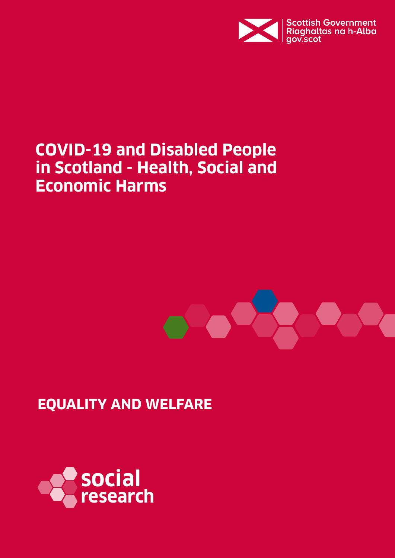

# **COVID-19 and Disabled People in Scotland - Health, Social and Economic Harms**



## **EQUALITY AND WELFARE**

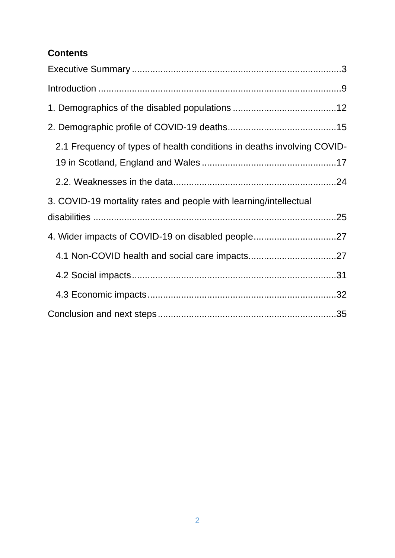### **Contents**

<span id="page-1-0"></span>

| 2.1 Frequency of types of health conditions in deaths involving COVID- |  |
|------------------------------------------------------------------------|--|
|                                                                        |  |
| 3. COVID-19 mortality rates and people with learning/intellectual      |  |
|                                                                        |  |
|                                                                        |  |
|                                                                        |  |
|                                                                        |  |
|                                                                        |  |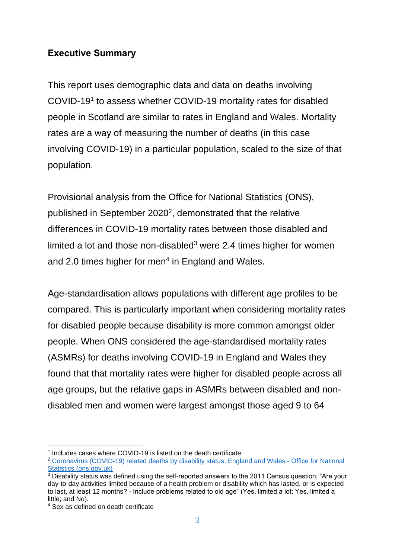### **Executive Summary**

This report uses demographic data and data on deaths involving COVID-19<sup>1</sup> to assess whether COVID-19 mortality rates for disabled people in Scotland are similar to rates in England and Wales. Mortality rates are a way of measuring the number of deaths (in this case involving COVID-19) in a particular population, scaled to the size of that population.

Provisional analysis from the Office for National Statistics (ONS), published in September 2020<sup>2</sup>, demonstrated that the relative differences in COVID-19 mortality rates between those disabled and limited a lot and those non-disabled<sup>3</sup> were 2.4 times higher for women and 2.0 times higher for men $4$  in England and Wales.

Age-standardisation allows populations with different age profiles to be compared. This is particularly important when considering mortality rates for disabled people because disability is more common amongst older people. When ONS considered the age-standardised mortality rates (ASMRs) for deaths involving COVID-19 in England and Wales they found that that mortality rates were higher for disabled people across all age groups, but the relative gaps in ASMRs between disabled and nondisabled men and women were largest amongst those aged 9 to 64

<sup>&</sup>lt;sup>1</sup> Includes cases where COVID-19 is listed on the death certificate

<sup>2</sup> [Coronavirus \(COVID-19\) related deaths by disability status, England and Wales -](https://www.ons.gov.uk/peoplepopulationandcommunity/birthsdeathsandmarriages/deaths/articles/coronaviruscovid19relateddeathsbydisabilitystatusenglandandwales/2marchto14july2020) Office for National [Statistics \(ons.gov.uk\)](https://www.ons.gov.uk/peoplepopulationandcommunity/birthsdeathsandmarriages/deaths/articles/coronaviruscovid19relateddeathsbydisabilitystatusenglandandwales/2marchto14july2020)

<sup>&</sup>lt;sup>3</sup> Disability status was defined using the self-reported answers to the 2011 Census question; "Are your day-to-day activities limited because of a health problem or disability which has lasted, or is expected to last, at least 12 months? - Include problems related to old age" (Yes, limited a lot; Yes, limited a little; and No).

<sup>4</sup> Sex as defined on death certificate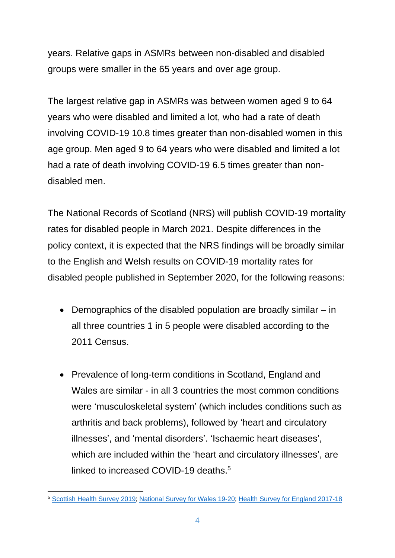years. Relative gaps in ASMRs between non-disabled and disabled groups were smaller in the 65 years and over age group.

The largest relative gap in ASMRs was between women aged 9 to 64 years who were disabled and limited a lot, who had a rate of death involving COVID-19 10.8 times greater than non-disabled women in this age group. Men aged 9 to 64 years who were disabled and limited a lot had a rate of death involving COVID-19 6.5 times greater than nondisabled men.

The National Records of Scotland (NRS) will publish COVID-19 mortality rates for disabled people in March 2021. Despite differences in the policy context, it is expected that the NRS findings will be broadly similar to the English and Welsh results on COVID-19 mortality rates for disabled people published in September 2020, for the following reasons:

- Demographics of the disabled population are broadly similar in all three countries 1 in 5 people were disabled according to the 2011 Census.
- Prevalence of long-term conditions in Scotland, England and Wales are similar - in all 3 countries the most common conditions were 'musculoskeletal system' (which includes conditions such as arthritis and back problems), followed by 'heart and circulatory illnesses', and 'mental disorders'. 'Ischaemic heart diseases', which are included within the 'heart and circulatory illnesses', are linked to increased COVID-19 deaths.<sup>5</sup>

<sup>5</sup> [Scottish Health Survey 2019;](https://www.gov.scot/publications/scottish-health-survey-2019-supplementary-tables/) [National Survey for Wales 19-20;](https://statswales.gov.wales/Catalogue/National-Survey-for-Wales/Population-Health/Adult-general-health-and-illness/genhealthillnessadditional-by-year) [Health Survey for England 2017-18](https://digital.nhs.uk/data-and-information/publications/statistical/health-survey-for-england/2018)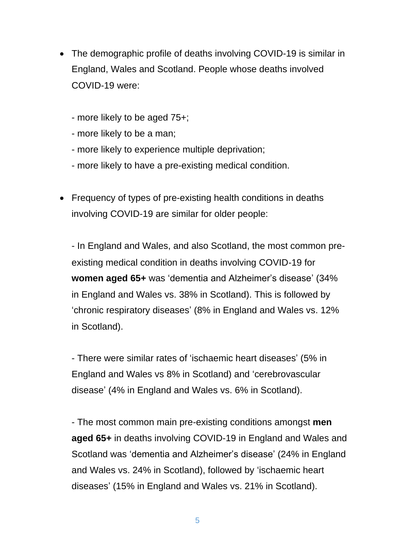- The demographic profile of deaths involving COVID-19 is similar in England, Wales and Scotland. People whose deaths involved COVID-19 were:
	- more likely to be aged 75+;
	- more likely to be a man;
	- more likely to experience multiple deprivation;
	- more likely to have a pre-existing medical condition.
- Frequency of types of pre-existing health conditions in deaths involving COVID-19 are similar for older people:

- In England and Wales, and also Scotland, the most common preexisting medical condition in deaths involving COVID-19 for **women aged 65+** was 'dementia and Alzheimer's disease' (34% in England and Wales vs. 38% in Scotland). This is followed by 'chronic respiratory diseases' (8% in England and Wales vs. 12% in Scotland).

- There were similar rates of 'ischaemic heart diseases' (5% in England and Wales vs 8% in Scotland) and 'cerebrovascular disease' (4% in England and Wales vs. 6% in Scotland).

- The most common main pre-existing conditions amongst **men aged 65+** in deaths involving COVID-19 in England and Wales and Scotland was 'dementia and Alzheimer's disease' (24% in England and Wales vs. 24% in Scotland), followed by 'ischaemic heart diseases' (15% in England and Wales vs. 21% in Scotland).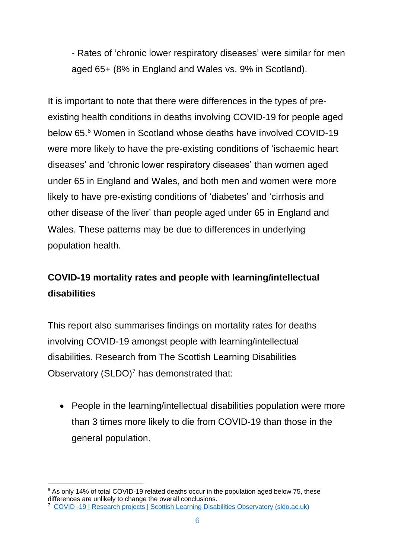- Rates of 'chronic lower respiratory diseases' were similar for men aged 65+ (8% in England and Wales vs. 9% in Scotland).

It is important to note that there were differences in the types of preexisting health conditions in deaths involving COVID-19 for people aged below 65.<sup>6</sup> Women in Scotland whose deaths have involved COVID-19 were more likely to have the pre-existing conditions of 'ischaemic heart diseases' and 'chronic lower respiratory diseases' than women aged under 65 in England and Wales, and both men and women were more likely to have pre-existing conditions of 'diabetes' and 'cirrhosis and other disease of the liver' than people aged under 65 in England and Wales. These patterns may be due to differences in underlying population health.

### **COVID-19 mortality rates and people with learning/intellectual disabilities**

This report also summarises findings on mortality rates for deaths involving COVID-19 amongst people with learning/intellectual disabilities. Research from The Scottish Learning Disabilities Observatory  $(SLDO)<sup>7</sup>$  has demonstrated that:

• People in the learning/intellectual disabilities population were more than 3 times more likely to die from COVID-19 than those in the general population.

<sup>&</sup>lt;sup>6</sup> As only 14% of total COVID-19 related deaths occur in the population aged below 75, these differences are unlikely to change the overall conclusions.

<sup>7</sup> COVID -19 | [Research projects | Scottish Learning Disabilities Observatory \(sldo.ac.uk\)](http://www.sldo.ac.uk/our-research/life-expectancy-and-mortality/covid-19/)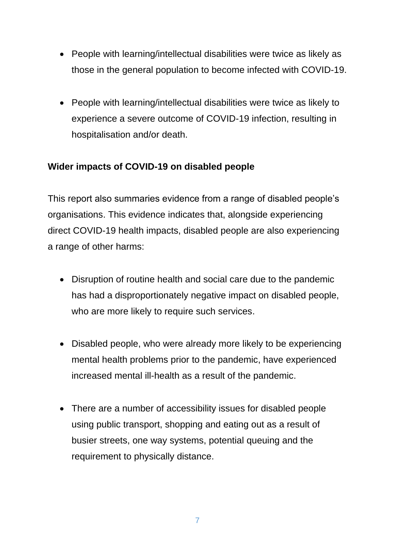- People with learning/intellectual disabilities were twice as likely as those in the general population to become infected with COVID-19.
- People with learning/intellectual disabilities were twice as likely to experience a severe outcome of COVID-19 infection, resulting in hospitalisation and/or death.

### **Wider impacts of COVID-19 on disabled people**

This report also summaries evidence from a range of disabled people's organisations. This evidence indicates that, alongside experiencing direct COVID-19 health impacts, disabled people are also experiencing a range of other harms:

- Disruption of routine health and social care due to the pandemic has had a disproportionately negative impact on disabled people, who are more likely to require such services.
- Disabled people, who were already more likely to be experiencing mental health problems prior to the pandemic, have experienced increased mental ill-health as a result of the pandemic.
- There are a number of accessibility issues for disabled people using public transport, shopping and eating out as a result of busier streets, one way systems, potential queuing and the requirement to physically distance.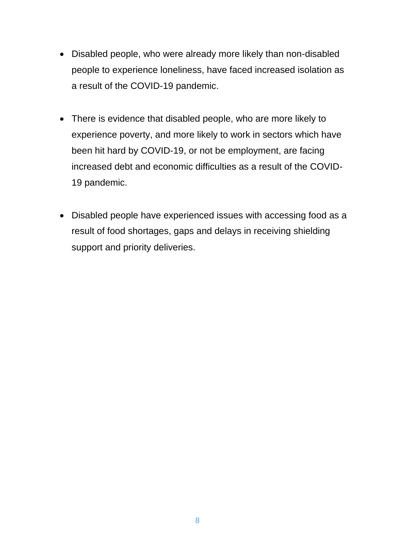- Disabled people, who were already more likely than non-disabled people to experience loneliness, have faced increased isolation as a result of the COVID-19 pandemic.
- There is evidence that disabled people, who are more likely to experience poverty, and more likely to work in sectors which have been hit hard by COVID-19, or not be employment, are facing increased debt and economic difficulties as a result of the COVID-19 pandemic.
- Disabled people have experienced issues with accessing food as a result of food shortages, gaps and delays in receiving shielding support and priority deliveries.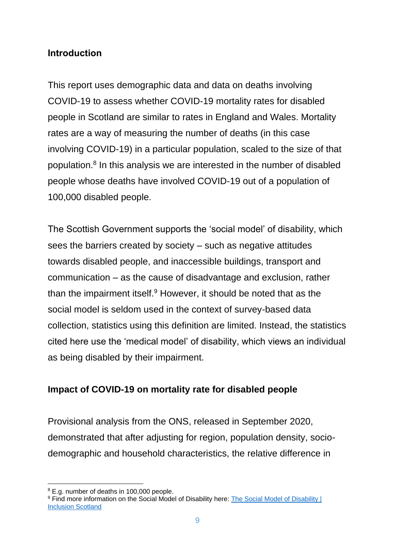#### <span id="page-8-0"></span>**Introduction**

This report uses demographic data and data on deaths involving COVID-19 to assess whether COVID-19 mortality rates for disabled people in Scotland are similar to rates in England and Wales. Mortality rates are a way of measuring the number of deaths (in this case involving COVID-19) in a particular population, scaled to the size of that population.<sup>8</sup> In this analysis we are interested in the number of disabled people whose deaths have involved COVID-19 out of a population of 100,000 disabled people.

The Scottish Government supports the 'social model' of disability, which sees the barriers created by society – such as negative attitudes towards disabled people, and inaccessible buildings, transport and communication – as the cause of disadvantage and exclusion, rather than the impairment itself.<sup>9</sup> However, it should be noted that as the social model is seldom used in the context of survey-based data collection, statistics using this definition are limited. Instead, the statistics cited here use the 'medical model' of disability, which views an individual as being disabled by their impairment.

#### **Impact of COVID-19 on mortality rate for disabled people**

Provisional analysis from the ONS, released in September 2020, demonstrated that after adjusting for region, population density, sociodemographic and household characteristics, the relative difference in

<sup>8</sup> E.g. number of deaths in 100,000 people.

<sup>9</sup> Find more information on the Social Model of Disability here: The Social Model of Disability | [Inclusion Scotland](https://inclusionscotland.org/socialmodelofdisability/)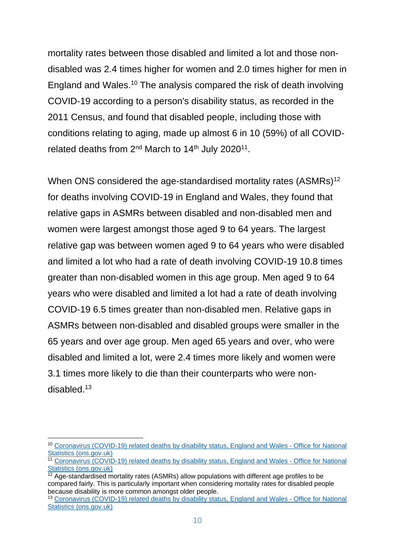mortality rates between those disabled and limited a lot and those nondisabled was 2.4 times higher for women and 2.0 times higher for men in England and Wales. <sup>10</sup> The analysis compared the risk of death involving COVID-19 according to a person's disability status, as recorded in the 2011 Census, and found that disabled people, including those with conditions relating to aging, made up almost 6 in 10 (59%) of all COVIDrelated deaths from  $2^{nd}$  March to 14<sup>th</sup> July 2020<sup>11</sup>.

When ONS considered the age-standardised mortality rates (ASMRs)<sup>12</sup> for deaths involving COVID-19 in England and Wales, they found that relative gaps in ASMRs between disabled and non-disabled men and women were largest amongst those aged 9 to 64 years. The largest relative gap was between women aged 9 to 64 years who were disabled and limited a lot who had a rate of death involving COVID-19 10.8 times greater than non-disabled women in this age group. Men aged 9 to 64 years who were disabled and limited a lot had a rate of death involving COVID-19 6.5 times greater than non-disabled men. Relative gaps in ASMRs between non-disabled and disabled groups were smaller in the 65 years and over age group. Men aged 65 years and over, who were disabled and limited a lot, were 2.4 times more likely and women were 3.1 times more likely to die than their counterparts who were nondisabled<sup>13</sup>

<sup>10</sup> [Coronavirus \(COVID-19\) related deaths by disability status, England and Wales -](https://www.ons.gov.uk/peoplepopulationandcommunity/birthsdeathsandmarriages/deaths/articles/coronaviruscovid19relateddeathsbydisabilitystatusenglandandwales/2marchto14july2020) Office for National [Statistics \(ons.gov.uk\)](https://www.ons.gov.uk/peoplepopulationandcommunity/birthsdeathsandmarriages/deaths/articles/coronaviruscovid19relateddeathsbydisabilitystatusenglandandwales/2marchto14july2020)

<sup>&</sup>lt;sup>11</sup> [Coronavirus \(COVID-19\) related deaths by disability status, England and Wales -](https://www.ons.gov.uk/peoplepopulationandcommunity/birthsdeathsandmarriages/deaths/articles/coronaviruscovid19relateddeathsbydisabilitystatusenglandandwales/2marchto14july2020) Office for National [Statistics \(ons.gov.uk\)](https://www.ons.gov.uk/peoplepopulationandcommunity/birthsdeathsandmarriages/deaths/articles/coronaviruscovid19relateddeathsbydisabilitystatusenglandandwales/2marchto14july2020)

 $\frac{1}{12}$  Age-standardised mortality rates (ASMRs) allow populations with different age profiles to be compared fairly. This is particularly important when considering mortality rates for disabled people because disability is more common amongst older people.

<sup>13</sup> [Coronavirus \(COVID-19\) related deaths by disability status, England and Wales -](https://www.ons.gov.uk/peoplepopulationandcommunity/birthsdeathsandmarriages/deaths/articles/coronaviruscovid19relateddeathsbydisabilitystatusenglandandwales/2marchto14july2020) Office for National [Statistics \(ons.gov.uk\)](https://www.ons.gov.uk/peoplepopulationandcommunity/birthsdeathsandmarriages/deaths/articles/coronaviruscovid19relateddeathsbydisabilitystatusenglandandwales/2marchto14july2020)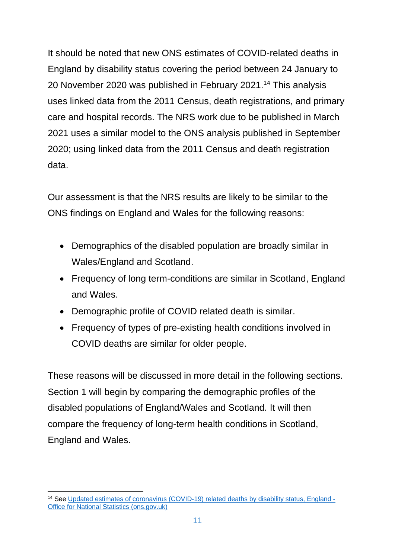It should be noted that new ONS estimates of COVID-related deaths in England by disability status covering the period between 24 January to 20 November 2020 was published in February 2021.<sup>14</sup> This analysis uses linked data from the 2011 Census, death registrations, and primary care and hospital records. The NRS work due to be published in March 2021 uses a similar model to the ONS analysis published in September 2020; using linked data from the 2011 Census and death registration data.

Our assessment is that the NRS results are likely to be similar to the ONS findings on England and Wales for the following reasons:

- Demographics of the disabled population are broadly similar in Wales/England and Scotland.
- Frequency of long term-conditions are similar in Scotland, England and Wales.
- Demographic profile of COVID related death is similar.
- Frequency of types of pre-existing health conditions involved in COVID deaths are similar for older people.

These reasons will be discussed in more detail in the following sections. Section 1 will begin by comparing the demographic profiles of the disabled populations of England/Wales and Scotland. It will then compare the frequency of long-term health conditions in Scotland, England and Wales.

<sup>&</sup>lt;sup>14</sup> See [Updated estimates of coronavirus \(COVID-19\) related deaths by disability status, England -](https://www.ons.gov.uk/peoplepopulationandcommunity/birthsdeathsandmarriages/deaths/articles/coronaviruscovid19relateddeathsbydisabilitystatusenglandandwales/24januaryto20november2020#age-standardised-rates-of-death-involving-covid-19-by-learning-disability-status) [Office for National Statistics \(ons.gov.uk\)](https://www.ons.gov.uk/peoplepopulationandcommunity/birthsdeathsandmarriages/deaths/articles/coronaviruscovid19relateddeathsbydisabilitystatusenglandandwales/24januaryto20november2020#age-standardised-rates-of-death-involving-covid-19-by-learning-disability-status)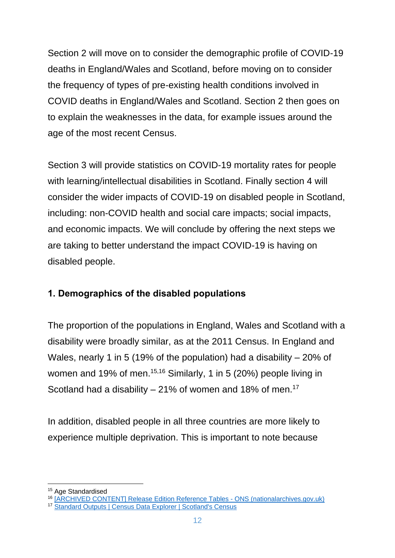Section 2 will move on to consider the demographic profile of COVID-19 deaths in England/Wales and Scotland, before moving on to consider the frequency of types of pre-existing health conditions involved in COVID deaths in England/Wales and Scotland. Section 2 then goes on to explain the weaknesses in the data, for example issues around the age of the most recent Census.

Section 3 will provide statistics on COVID-19 mortality rates for people with learning/intellectual disabilities in Scotland. Finally section 4 will consider the wider impacts of COVID-19 on disabled people in Scotland, including: non-COVID health and social care impacts; social impacts, and economic impacts. We will conclude by offering the next steps we are taking to better understand the impact COVID-19 is having on disabled people.

### <span id="page-11-0"></span>**1. Demographics of the disabled populations**

The proportion of the populations in England, Wales and Scotland with a disability were broadly similar, as at the 2011 Census. In England and Wales, nearly 1 in 5 (19% of the population) had a disability – 20% of women and 19% of men.<sup>15,16</sup> Similarly, 1 in 5 (20%) people living in Scotland had a disability  $-21\%$  of women and 18% of men.<sup>17</sup>

In addition, disabled people in all three countries are more likely to experience multiple deprivation. This is important to note because

<sup>&</sup>lt;sup>15</sup> Age Standardised

<sup>16</sup> [\[ARCHIVED CONTENT\] Release Edition Reference Tables -](https://webarchive.nationalarchives.gov.uk/20160108171259/http:/www.ons.gov.uk/ons/publications/re-reference-tables.html?edition=tcm%3A77-332941) ONS (nationalarchives.gov.uk)

<sup>17</sup> [Standard Outputs | Census Data Explorer | Scotland's Census](https://www.scotlandscensus.gov.uk/ods-web/standard-outputs.html)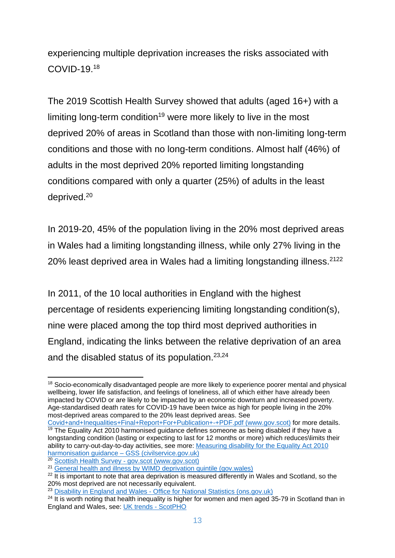experiencing multiple deprivation increases the risks associated with COVID-19.<sup>18</sup>

The 2019 Scottish Health Survey showed that adults (aged 16+) with a limiting long-term condition<sup>19</sup> were more likely to live in the most deprived 20% of areas in Scotland than those with non-limiting long-term conditions and those with no long-term conditions. Almost half (46%) of adults in the most deprived 20% reported limiting longstanding conditions compared with only a quarter (25%) of adults in the least deprived.<sup>20</sup>

In 2019-20, 45% of the population living in the 20% most deprived areas in Wales had a limiting longstanding illness, while only 27% living in the 20% least deprived area in Wales had a limiting longstanding illness.<sup>2122</sup>

In 2011, of the 10 local authorities in England with the highest percentage of residents experiencing limiting longstanding condition(s), nine were placed among the top third most deprived authorities in England, indicating the links between the relative deprivation of an area and the disabled status of its population.23,24

<sup>&</sup>lt;sup>18</sup> Socio-economically disadvantaged people are more likely to experience poorer mental and physical wellbeing, lower life satisfaction, and feelings of loneliness, all of which either have already been impacted by COVID or are likely to be impacted by an economic downturn and increased poverty. Age-standardised death rates for COVID-19 have been twice as high for people living in the 20% most-deprived areas compared to the 20% least deprived areas. See

[Covid+and+Inequalities+Final+Report+For+Publication+-+PDF.pdf \(www.gov.scot\)](https://www.gov.scot/binaries/content/documents/govscot/publications/research-and-analysis/2020/09/the-impacts-of-covid-19-on-equality-in-scotland/documents/full-report/full-report/govscot%3Adocument/Covid%2Band%2BInequalities%2BFinal%2BReport%2BFor%2BPublication%2B-%2BPDF.pdf) for more details.  $\frac{19}{19}$  The Equality Act 2010 harmonised guidance defines someone as being disabled if they have a longstanding condition (lasting or expecting to last for 12 months or more) which reduces\limits their ability to carry-out-day-to-day activities, see more: [Measuring disability for the Equality Act 2010](https://gss.civilservice.gov.uk/policy-store/measuring-disability-for-the-equality-act-2010/)  [harmonisation guidance –](https://gss.civilservice.gov.uk/policy-store/measuring-disability-for-the-equality-act-2010/) GSS (civilservice.gov.uk)

<sup>20</sup> Scottish Health Survey - [gov.scot \(www.gov.scot\)](https://www.gov.scot/collections/scottish-health-survey/)

<sup>&</sup>lt;sup>21</sup> [General health and illness by WIMD deprivation quintile \(gov.wales\)](https://statswales.gov.wales/Catalogue/National-Survey-for-Wales/Population-Health/Adult-general-health-and-illness/genhealthillness-by-wimddeprivation)

 $22$  It is important to note that area deprivation is measured differently in Wales and Scotland, so the 20% most deprived are not necessarily equivalent.

<sup>&</sup>lt;sup>23</sup> Disability in England and Wales - [Office for National Statistics \(ons.gov.uk\)](https://www.ons.gov.uk/peoplepopulationandcommunity/healthandsocialcare/disability/articles/disabilityinenglandandwales/2013-01-30)

 $24$  It is worth noting that health inequality is higher for women and men aged 35-79 in Scotland than in England and Wales, see: [UK trends -](https://www.scotpho.org.uk/comparative-health/health-inequalities/data/uk-trends/) ScotPHO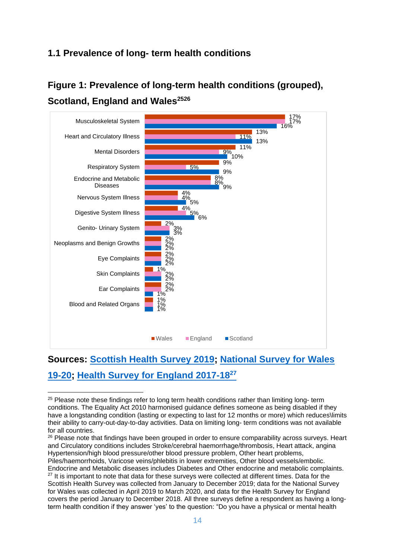### **1.1 Prevalence of long- term health conditions**

### **Figure 1: Prevalence of long-term health conditions (grouped), Scotland, England and Wales<sup>2526</sup>**



### **Sources: [Scottish Health Survey 2019;](https://www.gov.scot/publications/scottish-health-survey-2019-supplementary-tables/) [National Survey for Wales](https://statswales.gov.wales/Catalogue/National-Survey-for-Wales/Population-Health/Adult-general-health-and-illness/genhealthillnessadditional-by-year)  [19-20;](https://statswales.gov.wales/Catalogue/National-Survey-for-Wales/Population-Health/Adult-general-health-and-illness/genhealthillnessadditional-by-year) [Health Survey for England 2017-18](https://digital.nhs.uk/data-and-information/publications/statistical/health-survey-for-england/2018)<sup>27</sup>**

 $25$  Please note these findings refer to long term health conditions rather than limiting long- term conditions. The Equality Act 2010 harmonised guidance defines someone as being disabled if they have a longstanding condition (lasting or expecting to last for 12 months or more) which reduces\limits their ability to carry-out-day-to-day activities. Data on limiting long- term conditions was not available for all countries.

<sup>&</sup>lt;sup>26</sup> Please note that findings have been grouped in order to ensure comparability across surveys. Heart and Circulatory conditions includes Stroke/cerebral haemorrhage/thrombosis, Heart attack, angina Hypertension/high blood pressure/other blood pressure problem, Other heart problems,

Piles/haemorrhoids, Varicose veins/phlebitis in lower extremities, Other blood vessels/embolic. Endocrine and Metabolic diseases includes Diabetes and Other endocrine and metabolic complaints.  $27$  It is important to note that data for these surveys were collected at different times. Data for the Scottish Health Survey was collected from January to December 2019; data for the National Survey for Wales was collected in April 2019 to March 2020, and data for the Health Survey for England covers the period January to December 2018. All three surveys define a respondent as having a longterm health condition if they answer 'yes' to the question: "Do you have a physical or mental health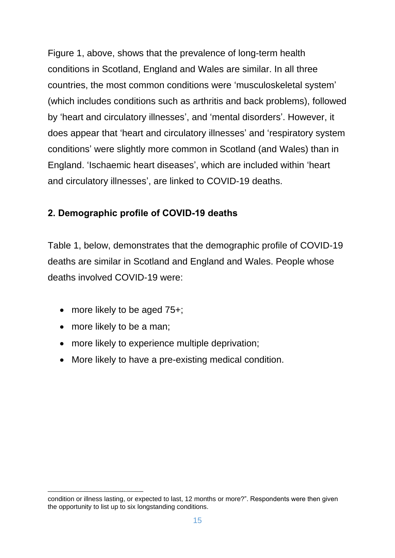Figure 1, above, shows that the prevalence of long-term health conditions in Scotland, England and Wales are similar. In all three countries, the most common conditions were 'musculoskeletal system' (which includes conditions such as arthritis and back problems), followed by 'heart and circulatory illnesses', and 'mental disorders'. However, it does appear that 'heart and circulatory illnesses' and 'respiratory system conditions' were slightly more common in Scotland (and Wales) than in England. 'Ischaemic heart diseases', which are included within 'heart and circulatory illnesses', are linked to COVID-19 deaths.

### <span id="page-14-0"></span>**2. Demographic profile of COVID-19 deaths**

Table 1, below, demonstrates that the demographic profile of COVID-19 deaths are similar in Scotland and England and Wales. People whose deaths involved COVID-19 were:

- more likely to be aged 75+;
- more likely to be a man;
- more likely to experience multiple deprivation;
- More likely to have a pre-existing medical condition.

condition or illness lasting, or expected to last, 12 months or more?". Respondents were then given the opportunity to list up to six longstanding conditions.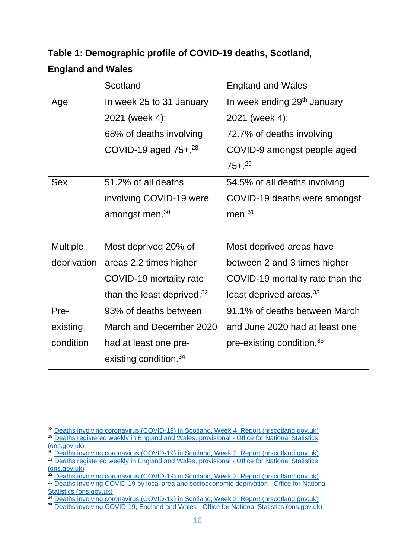## **Table 1: Demographic profile of COVID-19 deaths, Scotland, England and Wales**

|                 | Scotland                          | <b>England and Wales</b>                |
|-----------------|-----------------------------------|-----------------------------------------|
| Age             | In week 25 to 31 January          | In week ending 29 <sup>th</sup> January |
|                 | 2021 (week 4):                    | 2021 (week 4):                          |
|                 | 68% of deaths involving           | 72.7% of deaths involving               |
|                 | COVID-19 aged $75 + .28$          | COVID-9 amongst people aged             |
|                 |                                   | $75 + .29$                              |
| <b>Sex</b>      | 51.2% of all deaths               | 54.5% of all deaths involving           |
|                 | involving COVID-19 were           | COVID-19 deaths were amongst            |
|                 | amongst men. <sup>30</sup>        | men. $31$                               |
|                 |                                   |                                         |
| <b>Multiple</b> | Most deprived 20% of              | Most deprived areas have                |
| deprivation     | areas 2.2 times higher            | between 2 and 3 times higher            |
|                 | COVID-19 mortality rate           | COVID-19 mortality rate than the        |
|                 | than the least deprived. $32$     | least deprived areas. <sup>33</sup>     |
| Pre-            | 93% of deaths between             | 91.1% of deaths between March           |
| existing        | March and December 2020           | and June 2020 had at least one          |
| condition       | had at least one pre-             | pre-existing condition. <sup>35</sup>   |
|                 | existing condition. <sup>34</sup> |                                         |

<sup>&</sup>lt;sup>28</sup> [Deaths involving coronavirus \(COVID-19\) in Scotland, Week 4: Report \(nrscotland.gov.uk\)](https://www.nrscotland.gov.uk/files/statistics/covid19/covid-deaths-21-report-week-04.pdf)

<sup>&</sup>lt;sup>29</sup> Deaths registered weekly [in England and Wales, provisional -](https://www.ons.gov.uk/peoplepopulationandcommunity/birthsdeathsandmarriages/deaths/bulletins/deathsregisteredweeklyinenglandandwalesprovisional/weekending29january2021) Office for National Statistics [\(ons.gov.uk\)](https://www.ons.gov.uk/peoplepopulationandcommunity/birthsdeathsandmarriages/deaths/bulletins/deathsregisteredweeklyinenglandandwalesprovisional/weekending29january2021)

<sup>&</sup>lt;sup>30</sup> [Deaths involving coronavirus \(COVID-19\) in Scotland, Week 2: Report](https://www.nrscotland.gov.uk/files/statistics/covid19/covid-deaths-21-report-week-02.pdf) (nrscotland.gov.uk) <sup>31</sup> [Deaths registered weekly in England and Wales, provisional -](https://www.ons.gov.uk/peoplepopulationandcommunity/birthsdeathsandmarriages/deaths/bulletins/deathsregisteredweeklyinenglandandwalesprovisional/weekending29january2021) Office for National Statistics [\(ons.gov.uk\)](https://www.ons.gov.uk/peoplepopulationandcommunity/birthsdeathsandmarriages/deaths/bulletins/deathsregisteredweeklyinenglandandwalesprovisional/weekending29january2021)

<sup>32</sup> [Deaths involving coronavirus \(COVID-19\) in Scotland, Week 2: Report \(nrscotland.gov.uk\)](https://www.nrscotland.gov.uk/files/statistics/covid19/covid-deaths-21-report-week-02.pdf)

<sup>33</sup> [Deaths involving COVID-19 by local area and socioeconomic](https://www.ons.gov.uk/peoplepopulationandcommunity/birthsdeathsandmarriages/deaths/bulletins/deathsinvolvingcovid19bylocalareasanddeprivation/deathsoccurringbetween1marchand31may2020) deprivation - Office for National [Statistics \(ons.gov.uk\)](https://www.ons.gov.uk/peoplepopulationandcommunity/birthsdeathsandmarriages/deaths/bulletins/deathsinvolvingcovid19bylocalareasanddeprivation/deathsoccurringbetween1marchand31may2020)

<sup>34</sup> [Deaths involving coronavirus \(COVID-19\) in Scotland, Week 2: Report \(nrscotland.gov.uk\)](https://www.nrscotland.gov.uk/files/statistics/covid19/covid-deaths-21-report-week-02.pdf)

<sup>35</sup> [Deaths involving COVID-19, England and Wales -](https://www.ons.gov.uk/peoplepopulationandcommunity/birthsdeathsandmarriages/deaths/bulletins/deathsinvolvingcovid19englandandwales/deathsoccurringinjune2020) Office for National Statistics (ons.gov.uk)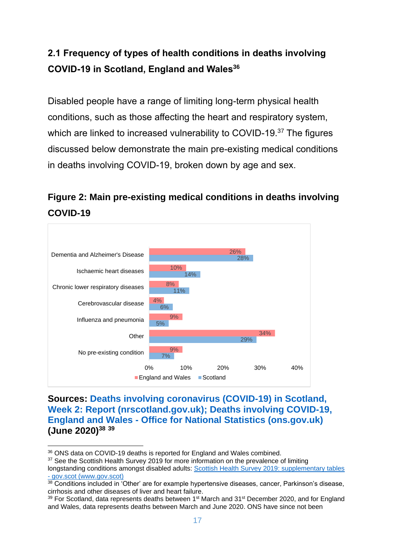### <span id="page-16-0"></span>**2.1 Frequency of types of health conditions in deaths involving COVID-19 in Scotland, England and Wales<sup>36</sup>**

Disabled people have a range of limiting long-term physical health conditions, such as those affecting the heart and respiratory system, which are linked to increased vulnerability to COVID-19.<sup>37</sup> The figures discussed below demonstrate the main pre-existing medical conditions in deaths involving COVID-19, broken down by age and sex.

### **Figure 2: Main pre-existing medical conditions in deaths involving COVID-19**



**Sources: [Deaths involving coronavirus \(COVID-19\) in Scotland,](https://www.nrscotland.gov.uk/files/statistics/covid19/covid-deaths-21-report-week-02.pdf)  [Week 2: Report \(nrscotland.gov.uk\);](https://www.nrscotland.gov.uk/files/statistics/covid19/covid-deaths-21-report-week-02.pdf) [Deaths involving COVID-19,](https://www.ons.gov.uk/peoplepopulationandcommunity/birthsdeathsandmarriages/deaths/datasets/deathsinvolvingcovid19englandandwales)  England and Wales - [Office for National Statistics \(ons.gov.uk\)](https://www.ons.gov.uk/peoplepopulationandcommunity/birthsdeathsandmarriages/deaths/datasets/deathsinvolvingcovid19englandandwales) (June 2020)<sup>38</sup> <sup>39</sup>**

<sup>&</sup>lt;sup>36</sup> ONS data on COVID-19 deaths is reported for England and Wales combined.

<sup>&</sup>lt;sup>37</sup> See the Scottish Health Survey 2019 for more information on the prevalence of limiting

longstanding conditions amongst disabled adults: [Scottish Health Survey 2019: supplementary tables](https://www.gov.scot/publications/scottish-health-survey-2019-supplementary-tables/)  - [gov.scot \(www.gov.scot\)](https://www.gov.scot/publications/scottish-health-survey-2019-supplementary-tables/)

<sup>&</sup>lt;sup>38</sup> Conditions included in 'Other' are for example hypertensive diseases, cancer, Parkinson's disease, cirrhosis and other diseases of liver and heart failure.

 $39$  For Scotland, data represents deaths between 1<sup>st</sup> March and 31<sup>st</sup> December 2020, and for England and Wales, data represents deaths between March and June 2020. ONS have since not been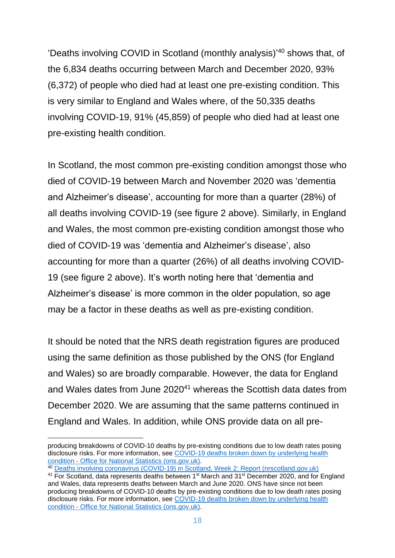'Deaths involving COVID in Scotland (monthly analysis)' <sup>40</sup> shows that, of the 6,834 deaths occurring between March and December 2020, 93% (6,372) of people who died had at least one pre-existing condition. This is very similar to England and Wales where, of the 50,335 deaths involving COVID-19, 91% (45,859) of people who died had at least one pre-existing health condition.

In Scotland, the most common pre-existing condition amongst those who died of COVID-19 between March and November 2020 was 'dementia and Alzheimer's disease', accounting for more than a quarter (28%) of all deaths involving COVID-19 (see figure 2 above). Similarly, in England and Wales, the most common pre-existing condition amongst those who died of COVID-19 was 'dementia and Alzheimer's disease', also accounting for more than a quarter (26%) of all deaths involving COVID-19 (see figure 2 above). It's worth noting here that 'dementia and Alzheimer's disease' is more common in the older population, so age may be a factor in these deaths as well as pre-existing condition.

It should be noted that the NRS death registration figures are produced using the same definition as those published by the ONS (for England and Wales) so are broadly comparable. However, the data for England and Wales dates from June 2020<sup>41</sup> whereas the Scottish data dates from December 2020. We are assuming that the same patterns continued in England and Wales. In addition, while ONS provide data on all pre-

producing breakdowns of COVID-10 deaths by pre-existing conditions due to low death rates posing disclosure risks. For more information, see COVID-19 deaths broken down by underlying health condition - [Office for National Statistics \(ons.gov.uk\).](https://www.ons.gov.uk/aboutus/transparencyandgovernance/freedomofinformationfoi/covid19deathsbrokendownbyunderlyinghealthcondition)

<sup>40</sup> [Deaths involving coronavirus \(COVID-19\) in Scotland, Week 2: Report \(nrscotland.gov.uk\)](https://www.nrscotland.gov.uk/files/statistics/covid19/covid-deaths-21-report-week-02.pdf)

<sup>&</sup>lt;sup>41</sup> For Scotland, data represents deaths between 1<sup>st</sup> March and 31<sup>st</sup> December 2020, and for England and Wales, data represents deaths between March and June 2020. ONS have since not been producing breakdowns of COVID-10 deaths by pre-existing conditions due to low death rates posing disclosure risks. For more information, see [COVID-19 deaths broken down by underlying health](https://www.ons.gov.uk/aboutus/transparencyandgovernance/freedomofinformationfoi/covid19deathsbrokendownbyunderlyinghealthcondition)  condition - [Office for National Statistics \(ons.gov.uk\).](https://www.ons.gov.uk/aboutus/transparencyandgovernance/freedomofinformationfoi/covid19deathsbrokendownbyunderlyinghealthcondition)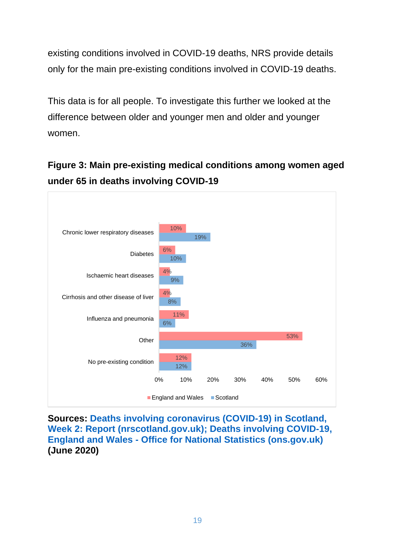existing conditions involved in COVID-19 deaths, NRS provide details only for the main pre-existing conditions involved in COVID-19 deaths.

This data is for all people. To investigate this further we looked at the difference between older and younger men and older and younger women.

**Figure 3: Main pre-existing medical conditions among women aged under 65 in deaths involving COVID-19**



**Sources: [Deaths involving coronavirus \(COVID-19\) in Scotland,](https://www.nrscotland.gov.uk/files/statistics/covid19/covid-deaths-21-report-week-02.pdf)  [Week 2: Report \(nrscotland.gov.uk\);](https://www.nrscotland.gov.uk/files/statistics/covid19/covid-deaths-21-report-week-02.pdf) [Deaths involving COVID-19,](https://www.ons.gov.uk/peoplepopulationandcommunity/birthsdeathsandmarriages/deaths/datasets/deathsinvolvingcovid19englandandwales)  England and Wales - [Office for National Statistics \(ons.gov.uk\)](https://www.ons.gov.uk/peoplepopulationandcommunity/birthsdeathsandmarriages/deaths/datasets/deathsinvolvingcovid19englandandwales) (June 2020)**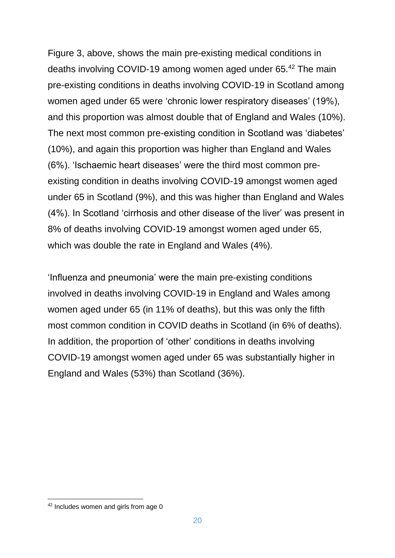Figure 3, above, shows the main pre-existing medical conditions in deaths involving COVID-19 among women aged under 65.<sup>42</sup> The main pre-existing conditions in deaths involving COVID-19 in Scotland among women aged under 65 were 'chronic lower respiratory diseases' (19%), and this proportion was almost double that of England and Wales (10%). The next most common pre-existing condition in Scotland was 'diabetes' (10%), and again this proportion was higher than England and Wales (6%). 'Ischaemic heart diseases' were the third most common preexisting condition in deaths involving COVID-19 amongst women aged under 65 in Scotland (9%), and this was higher than England and Wales (4%). In Scotland 'cirrhosis and other disease of the liver' was present in 8% of deaths involving COVID-19 amongst women aged under 65, which was double the rate in England and Wales (4%).

'Influenza and pneumonia' were the main pre-existing conditions involved in deaths involving COVID-19 in England and Wales among women aged under 65 (in 11% of deaths), but this was only the fifth most common condition in COVID deaths in Scotland (in 6% of deaths). In addition, the proportion of 'other' conditions in deaths involving COVID-19 amongst women aged under 65 was substantially higher in England and Wales (53%) than Scotland (36%).

<sup>42</sup> Includes women and girls from age 0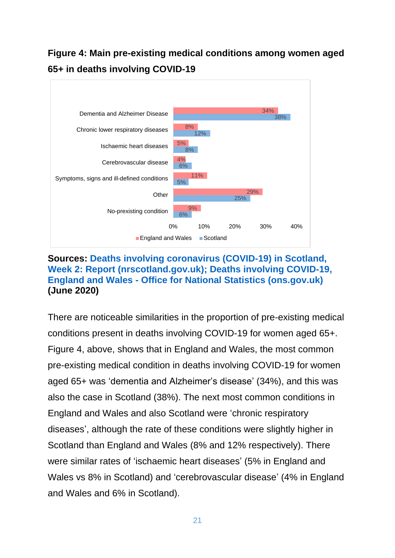### **Figure 4: Main pre-existing medical conditions among women aged 65+ in deaths involving COVID-19**



#### **Sources: [Deaths involving coronavirus \(COVID-19\) in Scotland,](https://www.nrscotland.gov.uk/files/statistics/covid19/covid-deaths-21-report-week-02.pdf)  [Week 2: Report \(nrscotland.gov.uk\);](https://www.nrscotland.gov.uk/files/statistics/covid19/covid-deaths-21-report-week-02.pdf) [Deaths involving COVID-19,](https://www.ons.gov.uk/peoplepopulationandcommunity/birthsdeathsandmarriages/deaths/datasets/deathsinvolvingcovid19englandandwales)  England and Wales - [Office for National Statistics \(ons.gov.uk\)](https://www.ons.gov.uk/peoplepopulationandcommunity/birthsdeathsandmarriages/deaths/datasets/deathsinvolvingcovid19englandandwales) (June 2020)**

There are noticeable similarities in the proportion of pre-existing medical conditions present in deaths involving COVID-19 for women aged 65+. Figure 4, above, shows that in England and Wales, the most common pre-existing medical condition in deaths involving COVID-19 for women aged 65+ was 'dementia and Alzheimer's disease' (34%), and this was also the case in Scotland (38%). The next most common conditions in England and Wales and also Scotland were 'chronic respiratory diseases', although the rate of these conditions were slightly higher in Scotland than England and Wales (8% and 12% respectively). There were similar rates of 'ischaemic heart diseases' (5% in England and Wales vs 8% in Scotland) and 'cerebrovascular disease' (4% in England and Wales and 6% in Scotland).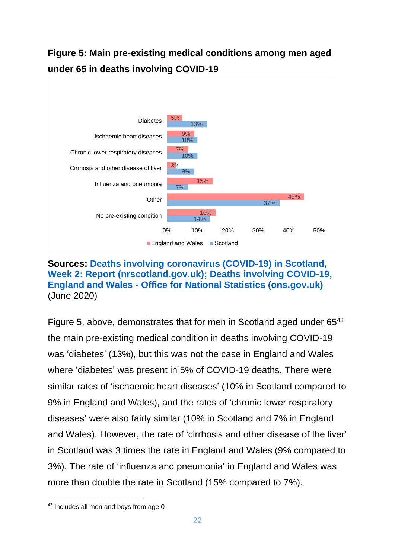

### **Figure 5: Main pre-existing medical conditions among men aged under 65 in deaths involving COVID-19**

#### **Sources: [Deaths involving coronavirus \(COVID-19\) in Scotland,](https://www.nrscotland.gov.uk/files/statistics/covid19/covid-deaths-21-report-week-02.pdf)  [Week 2: Report \(nrscotland.gov.uk\);](https://www.nrscotland.gov.uk/files/statistics/covid19/covid-deaths-21-report-week-02.pdf) [Deaths involving COVID-19,](https://www.ons.gov.uk/peoplepopulationandcommunity/birthsdeathsandmarriages/deaths/datasets/deathsinvolvingcovid19englandandwales)  England and Wales - [Office for National Statistics \(ons.gov.uk\)](https://www.ons.gov.uk/peoplepopulationandcommunity/birthsdeathsandmarriages/deaths/datasets/deathsinvolvingcovid19englandandwales)** (June 2020)

Figure 5, above, demonstrates that for men in Scotland aged under 65<sup>43</sup> the main pre-existing medical condition in deaths involving COVID-19 was 'diabetes' (13%), but this was not the case in England and Wales where 'diabetes' was present in 5% of COVID-19 deaths. There were similar rates of 'ischaemic heart diseases' (10% in Scotland compared to 9% in England and Wales), and the rates of 'chronic lower respiratory diseases' were also fairly similar (10% in Scotland and 7% in England and Wales). However, the rate of 'cirrhosis and other disease of the liver' in Scotland was 3 times the rate in England and Wales (9% compared to 3%). The rate of 'influenza and pneumonia' in England and Wales was more than double the rate in Scotland (15% compared to 7%).

<sup>43</sup> Includes all men and boys from age 0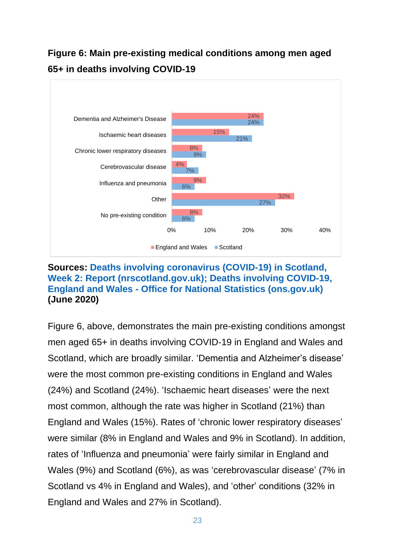### **Figure 6: Main pre-existing medical conditions among men aged 65+ in deaths involving COVID-19**



#### **Sources: [Deaths involving coronavirus \(COVID-19\) in Scotland,](https://www.nrscotland.gov.uk/files/statistics/covid19/covid-deaths-21-report-week-02.pdf)  [Week 2: Report \(nrscotland.gov.uk\);](https://www.nrscotland.gov.uk/files/statistics/covid19/covid-deaths-21-report-week-02.pdf) [Deaths involving COVID-19,](https://www.ons.gov.uk/peoplepopulationandcommunity/birthsdeathsandmarriages/deaths/datasets/deathsinvolvingcovid19englandandwales)  England and Wales - [Office for National Statistics \(ons.gov.uk\)](https://www.ons.gov.uk/peoplepopulationandcommunity/birthsdeathsandmarriages/deaths/datasets/deathsinvolvingcovid19englandandwales) (June 2020)**

<span id="page-22-0"></span>Figure 6, above, demonstrates the main pre-existing conditions amongst men aged 65+ in deaths involving COVID-19 in England and Wales and Scotland, which are broadly similar. 'Dementia and Alzheimer's disease' were the most common pre-existing conditions in England and Wales (24%) and Scotland (24%). 'Ischaemic heart diseases' were the next most common, although the rate was higher in Scotland (21%) than England and Wales (15%). Rates of 'chronic lower respiratory diseases' were similar (8% in England and Wales and 9% in Scotland). In addition, rates of 'Influenza and pneumonia' were fairly similar in England and Wales (9%) and Scotland (6%), as was 'cerebrovascular disease' (7% in Scotland vs 4% in England and Wales), and 'other' conditions (32% in England and Wales and 27% in Scotland).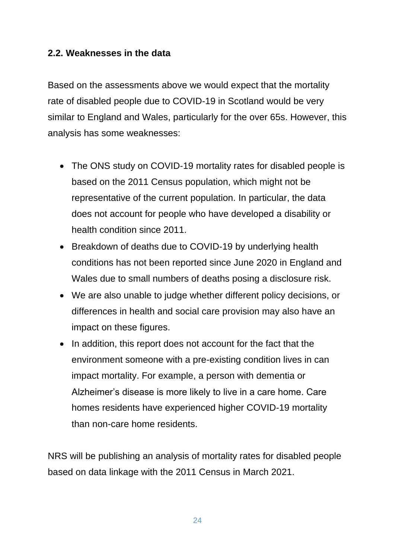#### **2.2. Weaknesses in the data**

Based on the assessments above we would expect that the mortality rate of disabled people due to COVID-19 in Scotland would be very similar to England and Wales, particularly for the over 65s. However, this analysis has some weaknesses:

- The ONS study on COVID-19 mortality rates for disabled people is based on the 2011 Census population, which might not be representative of the current population. In particular, the data does not account for people who have developed a disability or health condition since 2011.
- Breakdown of deaths due to COVID-19 by underlying health conditions has not been reported since June 2020 in England and Wales due to small numbers of deaths posing a disclosure risk.
- We are also unable to judge whether different policy decisions, or differences in health and social care provision may also have an impact on these figures.
- In addition, this report does not account for the fact that the environment someone with a pre-existing condition lives in can impact mortality. For example, a person with dementia or Alzheimer's disease is more likely to live in a care home. Care homes residents have experienced higher COVID-19 mortality than non-care home residents.

NRS will be publishing an analysis of mortality rates for disabled people based on data linkage with the 2011 Census in March 2021.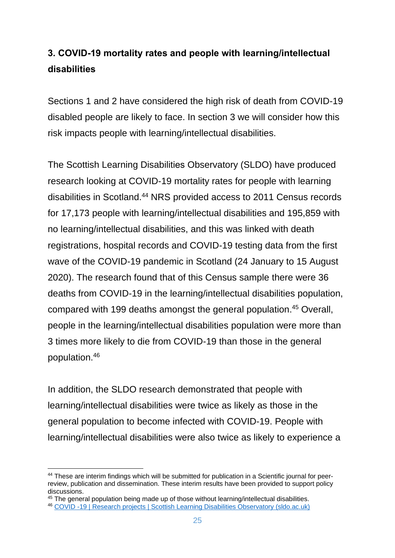### <span id="page-24-0"></span>**3. COVID-19 mortality rates and people with learning/intellectual disabilities**

Sections 1 and 2 have considered the high risk of death from COVID-19 disabled people are likely to face. In section 3 we will consider how this risk impacts people with learning/intellectual disabilities.

The Scottish Learning Disabilities Observatory (SLDO) have produced research looking at COVID-19 mortality rates for people with learning disabilities in Scotland.<sup>44</sup> NRS provided access to 2011 Census records for 17,173 people with learning/intellectual disabilities and 195,859 with no learning/intellectual disabilities, and this was linked with death registrations, hospital records and COVID-19 testing data from the first wave of the COVID-19 pandemic in Scotland (24 January to 15 August 2020). The research found that of this Census sample there were 36 deaths from COVID-19 in the learning/intellectual disabilities population, compared with 199 deaths amongst the general population.<sup>45</sup> Overall, people in the learning/intellectual disabilities population were more than 3 times more likely to die from COVID-19 than those in the general population.<sup>46</sup>

In addition, the SLDO research demonstrated that people with learning/intellectual disabilities were twice as likely as those in the general population to become infected with COVID-19. People with learning/intellectual disabilities were also twice as likely to experience a

<sup>45</sup> The general population being made up of those without learning/intellectual disabilities.

<sup>44</sup> These are interim findings which will be submitted for publication in a Scientific journal for peerreview, publication and dissemination. These interim results have been provided to support policy discussions.

<sup>46</sup> [COVID -19 | Research projects | Scottish Learning Disabilities Observatory \(sldo.ac.uk\)](http://www.sldo.ac.uk/our-research/life-expectancy-and-mortality/covid-19/)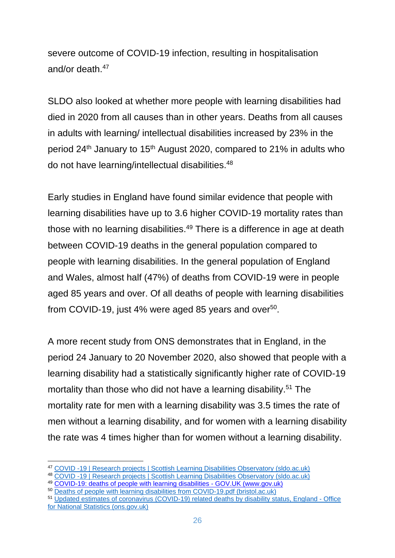severe outcome of COVID-19 infection, resulting in hospitalisation and/or death.<sup>47</sup>

SLDO also looked at whether more people with learning disabilities had died in 2020 from all causes than in other years. Deaths from all causes in adults with learning/ intellectual disabilities increased by 23% in the period 24<sup>th</sup> January to 15<sup>th</sup> August 2020, compared to 21% in adults who do not have learning/intellectual disabilities.<sup>48</sup>

Early studies in England have found similar evidence that people with learning disabilities have up to 3.6 higher COVID-19 mortality rates than those with no learning disabilities.<sup>49</sup> There is a difference in age at death between COVID-19 deaths in the general population compared to people with learning disabilities. In the general population of England and Wales, almost half (47%) of deaths from COVID-19 were in people aged 85 years and over. Of all deaths of people with learning disabilities from COVID-19, just 4% were aged 85 years and over $50$ .

A more recent study from ONS demonstrates that in England, in the period 24 January to 20 November 2020, also showed that people with a learning disability had a statistically significantly higher rate of COVID-19 mortality than those who did not have a learning disability. <sup>51</sup> The mortality rate for men with a learning disability was 3.5 times the rate of men without a learning disability, and for women with a learning disability the rate was 4 times higher than for women without a learning disability.

<sup>47</sup> [COVID -19 | Research projects | Scottish Learning Disabilities Observatory \(sldo.ac.uk\)](http://www.sldo.ac.uk/our-research/life-expectancy-and-mortality/covid-19/)

<sup>48</sup> [COVID -19 | Research projects | Scottish Learning Disabilities Observatory \(sldo.ac.uk\)](http://www.sldo.ac.uk/our-research/life-expectancy-and-mortality/covid-19/)

<sup>49</sup> [COVID-19: deaths of people with learning disabilities -](https://www.gov.uk/government/publications/covid-19-deaths-of-people-with-learning-disabilities) GOV.UK (www.gov.uk)

<sup>50</sup> [Deaths of people with learning disabilities from COVID-19.pdf \(bristol.ac.uk\)](http://www.bristol.ac.uk/media-library/sites/sps/leder/Deaths%20of%20people%20with%20learning%20disabilities%20from%20COVID-19.pdf)

<sup>51</sup> [Updated estimates of coronavirus \(COVID-19\) related deaths by disability status, England -](https://www.ons.gov.uk/peoplepopulationandcommunity/birthsdeathsandmarriages/deaths/articles/coronaviruscovid19relateddeathsbydisabilitystatusenglandandwales/24januaryto20november2020#age-standardised-rates-of-death-involving-covid-19-by-learning-disability-status) Office [for National Statistics \(ons.gov.uk\)](https://www.ons.gov.uk/peoplepopulationandcommunity/birthsdeathsandmarriages/deaths/articles/coronaviruscovid19relateddeathsbydisabilitystatusenglandandwales/24januaryto20november2020#age-standardised-rates-of-death-involving-covid-19-by-learning-disability-status)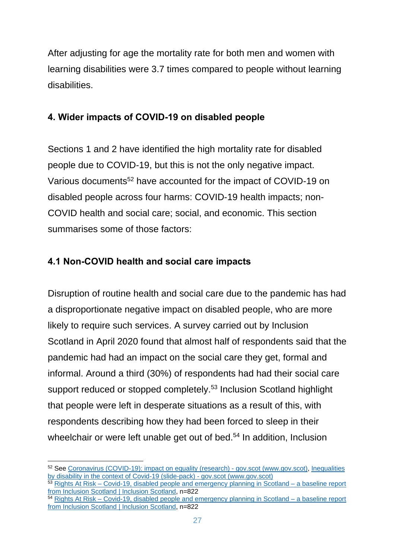After adjusting for age the mortality rate for both men and women with learning disabilities were 3.7 times compared to people without learning disabilities.

### <span id="page-26-0"></span>**4. Wider impacts of COVID-19 on disabled people**

Sections 1 and 2 have identified the high mortality rate for disabled people due to COVID-19, but this is not the only negative impact. Various documents<sup>52</sup> have accounted for the impact of COVID-19 on disabled people across four harms: COVID-19 health impacts; non-COVID health and social care; social, and economic. This section summarises some of those factors:

### <span id="page-26-1"></span>**4.1 Non-COVID health and social care impacts**

Disruption of routine health and social care due to the pandemic has had a disproportionate negative impact on disabled people, who are more likely to require such services. A survey carried out by Inclusion Scotland in April 2020 found that almost half of respondents said that the pandemic had had an impact on the social care they get, formal and informal. Around a third (30%) of respondents had had their social care support reduced or stopped completely.<sup>53</sup> Inclusion Scotland highlight that people were left in desperate situations as a result of this, with respondents describing how they had been forced to sleep in their wheelchair or were left unable get out of bed.<sup>54</sup> In addition, Inclusion

<sup>52</sup> See [Coronavirus \(COVID-19\): impact on equality \(research\) -](https://www.gov.scot/publications/the-impacts-of-covid-19-on-equality-in-scotland/) gov.scot (www.gov.scot), [Inequalities](https://www.gov.scot/publications/inequalities-by-disability-in-the-context-of-covid-19-slide-pack/)  [by disability in the context of Covid-19 \(slide-pack\) -](https://www.gov.scot/publications/inequalities-by-disability-in-the-context-of-covid-19-slide-pack/) gov.scot (www.gov.scot)

<sup>53</sup> Rights At Risk – [Covid-19, disabled people and emergency planning in Scotland –](https://inclusionscotland.org/rights-at-risk-covid-19-disabled-people-and-emergency-planning-in-scotland-a-baseline-report-from-inclusion-scotland/) a baseline report [from Inclusion Scotland | Inclusion Scotland,](https://inclusionscotland.org/rights-at-risk-covid-19-disabled-people-and-emergency-planning-in-scotland-a-baseline-report-from-inclusion-scotland/) n=822

<sup>&</sup>lt;sup>54</sup> Rights At Risk – [Covid-19, disabled people and emergency planning in Scotland –](https://inclusionscotland.org/rights-at-risk-covid-19-disabled-people-and-emergency-planning-in-scotland-a-baseline-report-from-inclusion-scotland/) a baseline report [from Inclusion Scotland | Inclusion Scotland,](https://inclusionscotland.org/rights-at-risk-covid-19-disabled-people-and-emergency-planning-in-scotland-a-baseline-report-from-inclusion-scotland/) n=822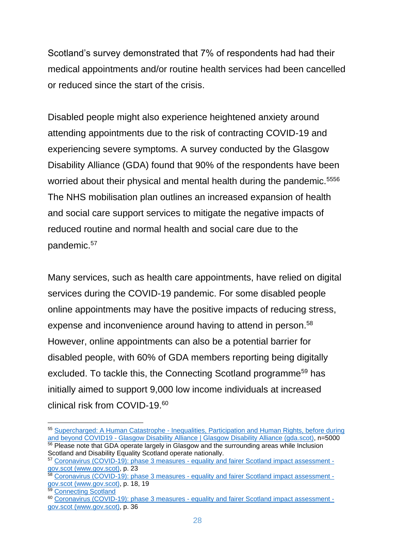Scotland's survey demonstrated that 7% of respondents had had their medical appointments and/or routine health services had been cancelled or reduced since the start of the crisis.

Disabled people might also experience heightened anxiety around attending appointments due to the risk of contracting COVID-19 and experiencing severe symptoms. A survey conducted by the Glasgow Disability Alliance (GDA) found that 90% of the respondents have been worried about their physical and mental health during the pandemic.<sup>5556</sup> The NHS mobilisation plan outlines an increased expansion of health and social care support services to mitigate the negative impacts of reduced routine and normal health and social care due to the pandemic.<sup>57</sup>

Many services, such as health care appointments, have relied on digital services during the COVID-19 pandemic. For some disabled people online appointments may have the positive impacts of reducing stress, expense and inconvenience around having to attend in person.<sup>58</sup> However, online appointments can also be a potential barrier for disabled people, with 60% of GDA members reporting being digitally excluded. To tackle this, the Connecting Scotland programme<sup>59</sup> has initially aimed to support 9,000 low income individuals at increased clinical risk from COVID-19.<sup>60</sup>

<sup>55</sup> Supercharged: A Human Catastrophe - [Inequalities, Participation and Human Rights, before during](https://gda.scot/what-we-do-at-gda/resources/publications/supercharged-a-human-catastrophe-inequalities-participation-and-human-rights-before-during-and-beyond-covid19)  and beyond COVID19 - [Glasgow Disability Alliance | Glasgow Disability Alliance \(gda.scot\),](https://gda.scot/what-we-do-at-gda/resources/publications/supercharged-a-human-catastrophe-inequalities-participation-and-human-rights-before-during-and-beyond-covid19) n=5000 <sup>56</sup> Please note that GDA operate largely in Glasgow and the surrounding areas while Inclusion Scotland and Disability Equality Scotland operate nationally.

<sup>57</sup> Coronavirus (COVID-19): phase 3 measures - [equality and fairer Scotland impact assessment](https://www.gov.scot/publications/covid-19-equality-fairer-scotland-impact-assessment-evidence-gathered-scotlands-route-map-through-out-crisis-phase-3-measures/)  [gov.scot \(www.gov.scot\),](https://www.gov.scot/publications/covid-19-equality-fairer-scotland-impact-assessment-evidence-gathered-scotlands-route-map-through-out-crisis-phase-3-measures/) p. 23

<sup>58</sup> Coronavirus (COVID-19): phase 3 measures - [equality and fairer Scotland impact assessment](https://www.gov.scot/publications/covid-19-equality-fairer-scotland-impact-assessment-evidence-gathered-scotlands-route-map-through-out-crisis-phase-3-measures/)  [gov.scot \(www.gov.scot\),](https://www.gov.scot/publications/covid-19-equality-fairer-scotland-impact-assessment-evidence-gathered-scotlands-route-map-through-out-crisis-phase-3-measures/) p. 18, 19

<sup>59</sup> [Connecting Scotland](https://connecting.scot/)

<sup>60</sup> Coronavirus (COVID-19): phase 3 measures - [equality and fairer Scotland impact assessment](https://www.gov.scot/publications/covid-19-equality-fairer-scotland-impact-assessment-evidence-gathered-scotlands-route-map-through-out-crisis-phase-3-measures/)  [gov.scot \(www.gov.scot\),](https://www.gov.scot/publications/covid-19-equality-fairer-scotland-impact-assessment-evidence-gathered-scotlands-route-map-through-out-crisis-phase-3-measures/) p. 36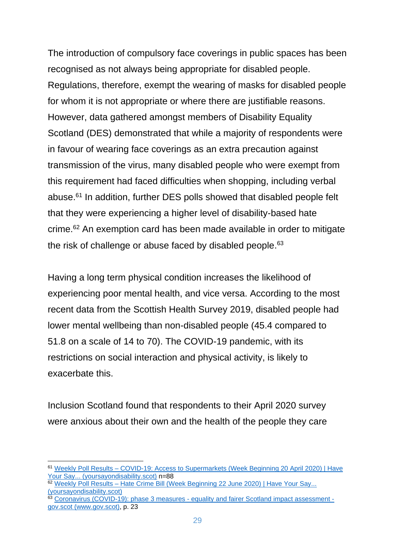The introduction of compulsory face coverings in public spaces has been recognised as not always being appropriate for disabled people. Regulations, therefore, exempt the wearing of masks for disabled people for whom it is not appropriate or where there are justifiable reasons. However, data gathered amongst members of Disability Equality Scotland (DES) demonstrated that while a majority of respondents were in favour of wearing face coverings as an extra precaution against transmission of the virus, many disabled people who were exempt from this requirement had faced difficulties when shopping, including verbal abuse. <sup>61</sup> In addition, further DES polls showed that disabled people felt that they were experiencing a higher level of disability-based hate crime.<sup>62</sup> An exemption card has been made available in order to mitigate the risk of challenge or abuse faced by disabled people.<sup>63</sup>

Having a long term physical condition increases the likelihood of experiencing poor mental health, and vice versa. According to the most recent data from the Scottish Health Survey 2019, disabled people had lower mental wellbeing than non-disabled people (45.4 compared to 51.8 on a scale of 14 to 70). The COVID-19 pandemic, with its restrictions on social interaction and physical activity, is likely to exacerbate this.

Inclusion Scotland found that respondents to their April 2020 survey were anxious about their own and the health of the people they care

<sup>61</sup> Weekly Poll Results – [COVID-19: Access to Supermarkets \(Week Beginning 20 April 2020\) | Have](https://yoursayondisability.scot/weekly-poll-results-covid-19-access-to-supermarkets-week-beginning-20-april/)  [Your Say... \(yoursayondisability.scot\)](https://yoursayondisability.scot/weekly-poll-results-covid-19-access-to-supermarkets-week-beginning-20-april/) n=88

<sup>62</sup> Weekly Poll Results – Hate Crime Bill (Week Beginning 22 June 2020) | Have Your Say... [\(yoursayondisability.scot\)](https://yoursayondisability.scot/weekly-poll-results-hate-crime-bill-week-beginning-22-june-2020/)

 $63$  Coronavirus (COVID-19): phase 3 measures - [equality and fairer Scotland impact assessment](https://www.gov.scot/publications/covid-19-equality-fairer-scotland-impact-assessment-evidence-gathered-scotlands-route-map-through-out-crisis-phase-3-measures/)  [gov.scot \(www.gov.scot\),](https://www.gov.scot/publications/covid-19-equality-fairer-scotland-impact-assessment-evidence-gathered-scotlands-route-map-through-out-crisis-phase-3-measures/) p. 23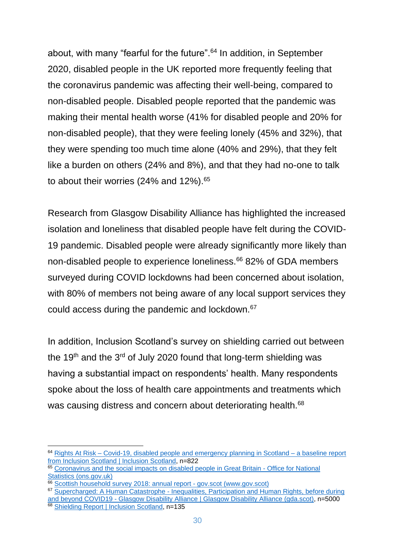about, with many "fearful for the future".<sup>64</sup> In addition, in September 2020, disabled people in the UK reported more frequently feeling that the coronavirus pandemic was affecting their well-being, compared to non-disabled people. Disabled people reported that the pandemic was making their mental health worse (41% for disabled people and 20% for non-disabled people), that they were feeling lonely (45% and 32%), that they were spending too much time alone (40% and 29%), that they felt like a burden on others (24% and 8%), and that they had no-one to talk to about their worries (24% and 12%).<sup>65</sup>

Research from Glasgow Disability Alliance has highlighted the increased isolation and loneliness that disabled people have felt during the COVID-19 pandemic. Disabled people were already significantly more likely than non-disabled people to experience loneliness.<sup>66</sup> 82% of GDA members surveyed during COVID lockdowns had been concerned about isolation, with 80% of members not being aware of any local support services they could access during the pandemic and lockdown.<sup>67</sup>

In addition, Inclusion Scotland's survey on shielding carried out between the 19<sup>th</sup> and the 3<sup>rd</sup> of July 2020 found that long-term shielding was having a substantial impact on respondents' health. Many respondents spoke about the loss of health care appointments and treatments which was causing distress and concern about deteriorating health.<sup>68</sup>

<sup>64</sup> Rights At Risk – [Covid-19, disabled people and emergency planning in Scotland –](https://inclusionscotland.org/rights-at-risk-covid-19-disabled-people-and-emergency-planning-in-scotland-a-baseline-report-from-inclusion-scotland/) a baseline report [from Inclusion Scotland | Inclusion Scotland,](https://inclusionscotland.org/rights-at-risk-covid-19-disabled-people-and-emergency-planning-in-scotland-a-baseline-report-from-inclusion-scotland/) n=822

<sup>&</sup>lt;sup>65</sup> [Coronavirus and the social impacts on disabled people in Great Britain -](https://www.ons.gov.uk/peoplepopulationandcommunity/healthandsocialcare/disability/articles/coronavirusandthesocialimpactsondisabledpeopleingreatbritain/september2020) Office for National [Statistics \(ons.gov.uk\)](https://www.ons.gov.uk/peoplepopulationandcommunity/healthandsocialcare/disability/articles/coronavirusandthesocialimpactsondisabledpeopleingreatbritain/september2020)

<sup>66</sup> [Scottish household survey 2018: annual report -](https://www.gov.scot/publications/scotlands-people-annual-report-results-2018-scottish-household-survey/) gov.scot (www.gov.scot)

<sup>&</sup>lt;sup>67</sup> Supercharged: A Human Catastrophe - Inequalities, Participation and Human Rights, before during and beyond COVID19 - [Glasgow Disability Alliance | Glasgow Disability Alliance \(gda.scot\),](https://gda.scot/what-we-do-at-gda/resources/publications/supercharged-a-human-catastrophe-inequalities-participation-and-human-rights-before-during-and-beyond-covid19) n=5000

<sup>&</sup>lt;sup>68</sup> [Shielding Report | Inclusion Scotland,](https://inclusionscotland.org/shielding-report/) n=135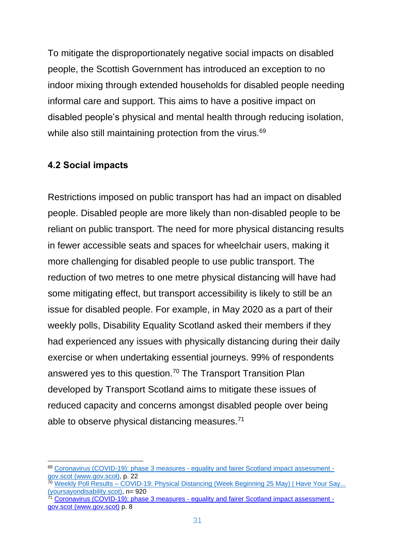To mitigate the disproportionately negative social impacts on disabled people, the Scottish Government has introduced an exception to no indoor mixing through extended households for disabled people needing informal care and support. This aims to have a positive impact on disabled people's physical and mental health through reducing isolation, while also still maintaining protection from the virus.<sup>69</sup>

#### <span id="page-30-0"></span>**4.2 Social impacts**

Restrictions imposed on public transport has had an impact on disabled people. Disabled people are more likely than non-disabled people to be reliant on public transport. The need for more physical distancing results in fewer accessible seats and spaces for wheelchair users, making it more challenging for disabled people to use public transport. The reduction of two metres to one metre physical distancing will have had some mitigating effect, but transport accessibility is likely to still be an issue for disabled people. For example, in May 2020 as a part of their weekly polls, Disability Equality Scotland asked their members if they had experienced any issues with physically distancing during their daily exercise or when undertaking essential journeys. 99% of respondents answered yes to this question.<sup>70</sup> The Transport Transition Plan developed by Transport Scotland aims to mitigate these issues of reduced capacity and concerns amongst disabled people over being able to observe physical distancing measures.<sup>71</sup>

<sup>69</sup> Coronavirus (COVID-19): phase 3 measures - [equality and fairer Scotland impact assessment](https://www.gov.scot/publications/covid-19-equality-fairer-scotland-impact-assessment-evidence-gathered-scotlands-route-map-through-out-crisis-phase-3-measures/)  [gov.scot \(www.gov.scot\),](https://www.gov.scot/publications/covid-19-equality-fairer-scotland-impact-assessment-evidence-gathered-scotlands-route-map-through-out-crisis-phase-3-measures/) p. 22

<sup>70</sup> Weekly Poll Results – [COVID-19: Physical Distancing \(Week Beginning 25 May\) | Have Your Say...](https://yoursayondisability.scot/weekly-poll-results-covid-19-physical-distancing-week-beginning-25-may/)  [\(yoursayondisability.scot\),](https://yoursayondisability.scot/weekly-poll-results-covid-19-physical-distancing-week-beginning-25-may/) n= 920

 $71$  Coronavirus (COVID-19): phase 3 measures - [equality and fairer Scotland impact assessment](https://www.gov.scot/publications/covid-19-equality-fairer-scotland-impact-assessment-evidence-gathered-scotlands-route-map-through-out-crisis-phase-3-measures/)  [gov.scot \(www.gov.scot\)](https://www.gov.scot/publications/covid-19-equality-fairer-scotland-impact-assessment-evidence-gathered-scotlands-route-map-through-out-crisis-phase-3-measures/) p. 8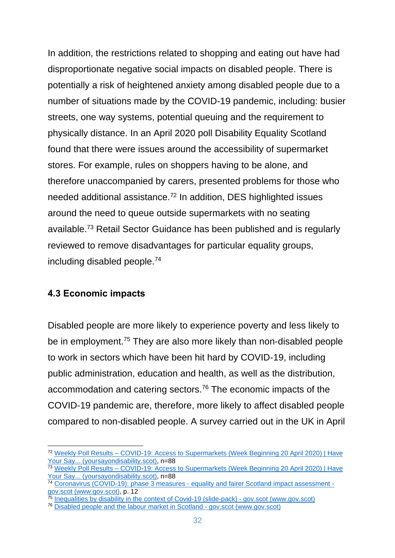In addition, the restrictions related to shopping and eating out have had disproportionate negative social impacts on disabled people. There is potentially a risk of heightened anxiety among disabled people due to a number of situations made by the COVID-19 pandemic, including: busier streets, one way systems, potential queuing and the requirement to physically distance. In an April 2020 poll Disability Equality Scotland found that there were issues around the accessibility of supermarket stores. For example, rules on shoppers having to be alone, and therefore unaccompanied by carers, presented problems for those who needed additional assistance.<sup>72</sup> In addition, DES highlighted issues around the need to queue outside supermarkets with no seating available.<sup>73</sup> Retail Sector Guidance has been published and is regularly reviewed to remove disadvantages for particular equality groups, including disabled people.<sup>74</sup>

#### <span id="page-31-0"></span>**4.3 Economic impacts**

Disabled people are more likely to experience poverty and less likely to be in employment.<sup>75</sup> They are also more likely than non-disabled people to work in sectors which have been hit hard by COVID-19, including public administration, education and health, as well as the distribution, accommodation and catering sectors.<sup>76</sup> The economic impacts of the COVID-19 pandemic are, therefore, more likely to affect disabled people compared to non-disabled people. A survey carried out in the UK in April

<sup>72</sup> Weekly Poll Results – [COVID-19: Access to Supermarkets \(Week Beginning 20 April 2020\) | Have](https://yoursayondisability.scot/weekly-poll-results-covid-19-access-to-supermarkets-week-beginning-20-april/)  [Your Say... \(yoursayondisability.scot\),](https://yoursayondisability.scot/weekly-poll-results-covid-19-access-to-supermarkets-week-beginning-20-april/) n=88

<sup>73</sup> Weekly Poll Results – [COVID-19: Access to Supermarkets \(Week Beginning 20 April 2020\) | Have](https://yoursayondisability.scot/weekly-poll-results-covid-19-access-to-supermarkets-week-beginning-20-april/)  [Your Say... \(yoursayondisability.scot\),](https://yoursayondisability.scot/weekly-poll-results-covid-19-access-to-supermarkets-week-beginning-20-april/) n=88

<sup>&</sup>lt;sup>74</sup> Coronavirus (COVID-19): phase 3 measures - [equality and fairer Scotland impact assessment](https://www.gov.scot/publications/covid-19-equality-fairer-scotland-impact-assessment-evidence-gathered-scotlands-route-map-through-out-crisis-phase-3-measures/)  [gov.scot \(www.gov.scot\),](https://www.gov.scot/publications/covid-19-equality-fairer-scotland-impact-assessment-evidence-gathered-scotlands-route-map-through-out-crisis-phase-3-measures/) p. 12

<sup>&</sup>lt;sup>75</sup> [Inequalities by disability in the context of Covid-19 \(slide-pack\) -](https://www.gov.scot/publications/inequalities-by-disability-in-the-context-of-covid-19-slide-pack/) gov.scot (www.gov.scot)

<sup>76</sup> [Disabled people and the labour market in Scotland -](https://www.gov.scot/news/disabled-people-and-the-labour-market-in-scotland/) gov.scot (www.gov.scot)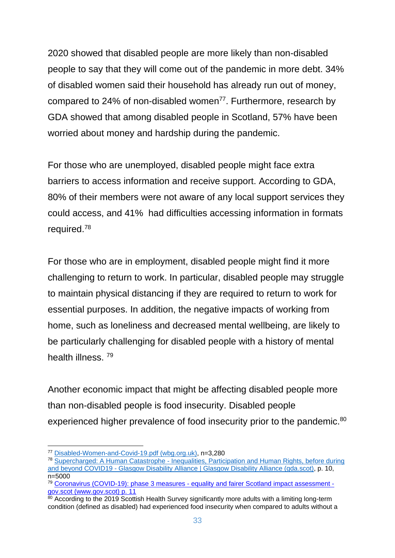2020 showed that disabled people are more likely than non-disabled people to say that they will come out of the pandemic in more debt. 34% of disabled women said their household has already run out of money, compared to 24% of non-disabled women<sup>77</sup>. Furthermore, research by GDA showed that among disabled people in Scotland, 57% have been worried about money and hardship during the pandemic.

For those who are unemployed, disabled people might face extra barriers to access information and receive support. According to GDA, 80% of their members were not aware of any local support services they could access, and 41% had difficulties accessing information in formats required. 78

For those who are in employment, disabled people might find it more challenging to return to work. In particular, disabled people may struggle to maintain physical distancing if they are required to return to work for essential purposes. In addition, the negative impacts of working from home, such as loneliness and decreased mental wellbeing, are likely to be particularly challenging for disabled people with a history of mental health illness. <sup>79</sup>

Another economic impact that might be affecting disabled people more than non-disabled people is food insecurity. Disabled people experienced higher prevalence of food insecurity prior to the pandemic.<sup>80</sup>

<sup>77</sup> [Disabled-Women-and-Covid-19.pdf \(wbg.org.uk\),](https://wbg.org.uk/wp-content/uploads/2020/06/Disabled-Women-and-Covid-19.pdf) n=3,280

<sup>78</sup> Supercharged: A Human Catastrophe - [Inequalities, Participation and Human Rights, before during](https://gda.scot/what-we-do-at-gda/resources/publications/supercharged-a-human-catastrophe-inequalities-participation-and-human-rights-before-during-and-beyond-covid19)  and beyond COVID19 - [Glasgow Disability Alliance | Glasgow Disability Alliance \(gda.scot\),](https://gda.scot/what-we-do-at-gda/resources/publications/supercharged-a-human-catastrophe-inequalities-participation-and-human-rights-before-during-and-beyond-covid19) p. 10, n=5000

<sup>79</sup> Coronavirus (COVID-19): phase 3 measures - [equality and fairer Scotland impact assessment](https://www.gov.scot/publications/covid-19-equality-fairer-scotland-impact-assessment-evidence-gathered-scotlands-route-map-through-out-crisis-phase-3-measures/)  [gov.scot \(www.gov.scot\)](https://www.gov.scot/publications/covid-19-equality-fairer-scotland-impact-assessment-evidence-gathered-scotlands-route-map-through-out-crisis-phase-3-measures/) p. 11

<sup>80</sup> According to the 2019 Scottish Health Survey significantly more adults with a limiting long-term condition (defined as disabled) had experienced food insecurity when compared to adults without a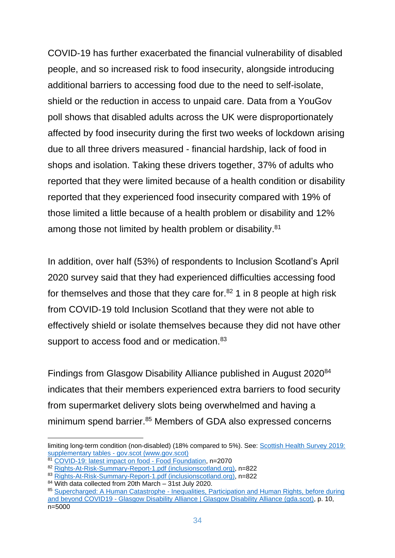COVID-19 has further exacerbated the financial vulnerability of disabled people, and so increased risk to food insecurity, alongside introducing additional barriers to accessing food due to the need to self-isolate, shield or the reduction in access to unpaid care. Data from a YouGov poll shows that disabled adults across the UK were disproportionately affected by food insecurity during the first two weeks of lockdown arising due to all three drivers measured - financial hardship, lack of food in shops and isolation. Taking these drivers together, 37% of adults who reported that they were limited because of a health condition or disability reported that they experienced food insecurity compared with 19% of those limited a little because of a health problem or disability and 12% among those not limited by health problem or disability.<sup>81</sup>

In addition, over half (53%) of respondents to Inclusion Scotland's April 2020 survey said that they had experienced difficulties accessing food for themselves and those that they care for. $82$  1 in 8 people at high risk from COVID-19 told Inclusion Scotland that they were not able to effectively shield or isolate themselves because they did not have other support to access food and or medication.<sup>83</sup>

Findings from Glasgow Disability Alliance published in August 2020<sup>84</sup> indicates that their members experienced extra barriers to food security from supermarket delivery slots being overwhelmed and having a minimum spend barrier.<sup>85</sup> Members of GDA also expressed concerns

limiting long-term condition (non-disabled) (18% compared to 5%). See: [Scottish Health Survey 2019:](https://www.gov.scot/publications/scottish-health-survey-2019-supplementary-tables/)  supplementary tables - [gov.scot \(www.gov.scot\)](https://www.gov.scot/publications/scottish-health-survey-2019-supplementary-tables/)

<sup>81</sup> [COVID-19: latest impact on food -](https://foodfoundation.org.uk/covid-19-latest-impact-on-food-2/) Food Foundation, n=2070

<sup>82</sup> [Rights-At-Risk-Summary-Report-1.pdf \(inclusionscotland.org\),](https://inclusionscotland.org/wp-content/uploads/2020/10/Rights-At-Risk-Summary-Report-1.pdf) n=822

<sup>83</sup> [Rights-At-Risk-Summary-Report-1.pdf \(inclusionscotland.org\),](https://inclusionscotland.org/wp-content/uploads/2020/10/Rights-At-Risk-Summary-Report-1.pdf) n=822

<sup>84</sup> With data collected from 20th March - 31st July 2020.

<sup>85</sup> Supercharged: A Human Catastrophe - Inequalities, Participation and Human Rights, before during and beyond COVID19 - [Glasgow Disability Alliance | Glasgow Disability Alliance \(gda.scot\),](https://gda.scot/what-we-do-at-gda/resources/publications/supercharged-a-human-catastrophe-inequalities-participation-and-human-rights-before-during-and-beyond-covid19) p. 10, n=5000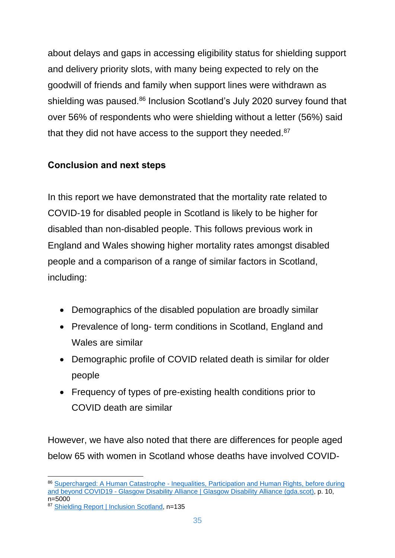about delays and gaps in accessing eligibility status for shielding support and delivery priority slots, with many being expected to rely on the goodwill of friends and family when support lines were withdrawn as shielding was paused.<sup>86</sup> Inclusion Scotland's July 2020 survey found that over 56% of respondents who were shielding without a letter (56%) said that they did not have access to the support they needed.<sup>87</sup>

### <span id="page-34-0"></span>**Conclusion and next steps**

In this report we have demonstrated that the mortality rate related to COVID-19 for disabled people in Scotland is likely to be higher for disabled than non-disabled people. This follows previous work in England and Wales showing higher mortality rates amongst disabled people and a comparison of a range of similar factors in Scotland, including:

- Demographics of the disabled population are broadly similar
- Prevalence of long- term conditions in Scotland, England and Wales are similar
- Demographic profile of COVID related death is similar for older people
- Frequency of types of pre-existing health conditions prior to COVID death are similar

However, we have also noted that there are differences for people aged below 65 with women in Scotland whose deaths have involved COVID-

<sup>86</sup> Supercharged: A Human Catastrophe - Inequalities, Participation and Human Rights, before during and beyond COVID19 - [Glasgow Disability Alliance | Glasgow Disability Alliance \(gda.scot\),](https://gda.scot/what-we-do-at-gda/resources/publications/supercharged-a-human-catastrophe-inequalities-participation-and-human-rights-before-during-and-beyond-covid19) p. 10, n=5000

<sup>87</sup> [Shielding Report | Inclusion Scotland,](https://inclusionscotland.org/shielding-report/) n=135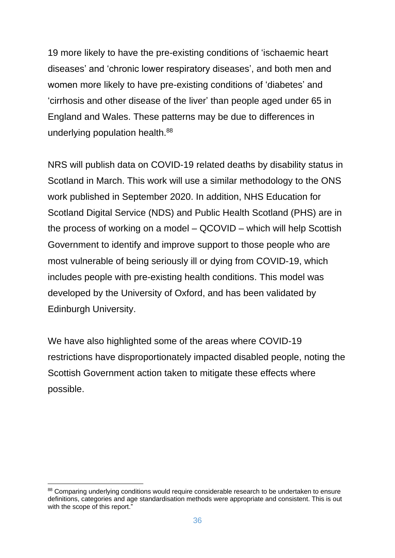19 more likely to have the pre-existing conditions of 'ischaemic heart diseases' and 'chronic lower respiratory diseases', and both men and women more likely to have pre-existing conditions of 'diabetes' and 'cirrhosis and other disease of the liver' than people aged under 65 in England and Wales. These patterns may be due to differences in underlying population health.<sup>88</sup>

NRS will publish data on COVID-19 related deaths by disability status in Scotland in March. This work will use a similar methodology to the ONS work published in September 2020. In addition, NHS Education for Scotland Digital Service (NDS) and Public Health Scotland (PHS) are in the process of working on a model – QCOVID – which will help Scottish Government to identify and improve support to those people who are most vulnerable of being seriously ill or dying from COVID-19, which includes people with pre-existing health conditions. This model was developed by the University of Oxford, and has been validated by Edinburgh University.

We have also highlighted some of the areas where COVID-19 restrictions have disproportionately impacted disabled people, noting the Scottish Government action taken to mitigate these effects where possible.

<sup>88</sup> Comparing underlying conditions would require considerable research to be undertaken to ensure definitions, categories and age standardisation methods were appropriate and consistent. This is out with the scope of this report."